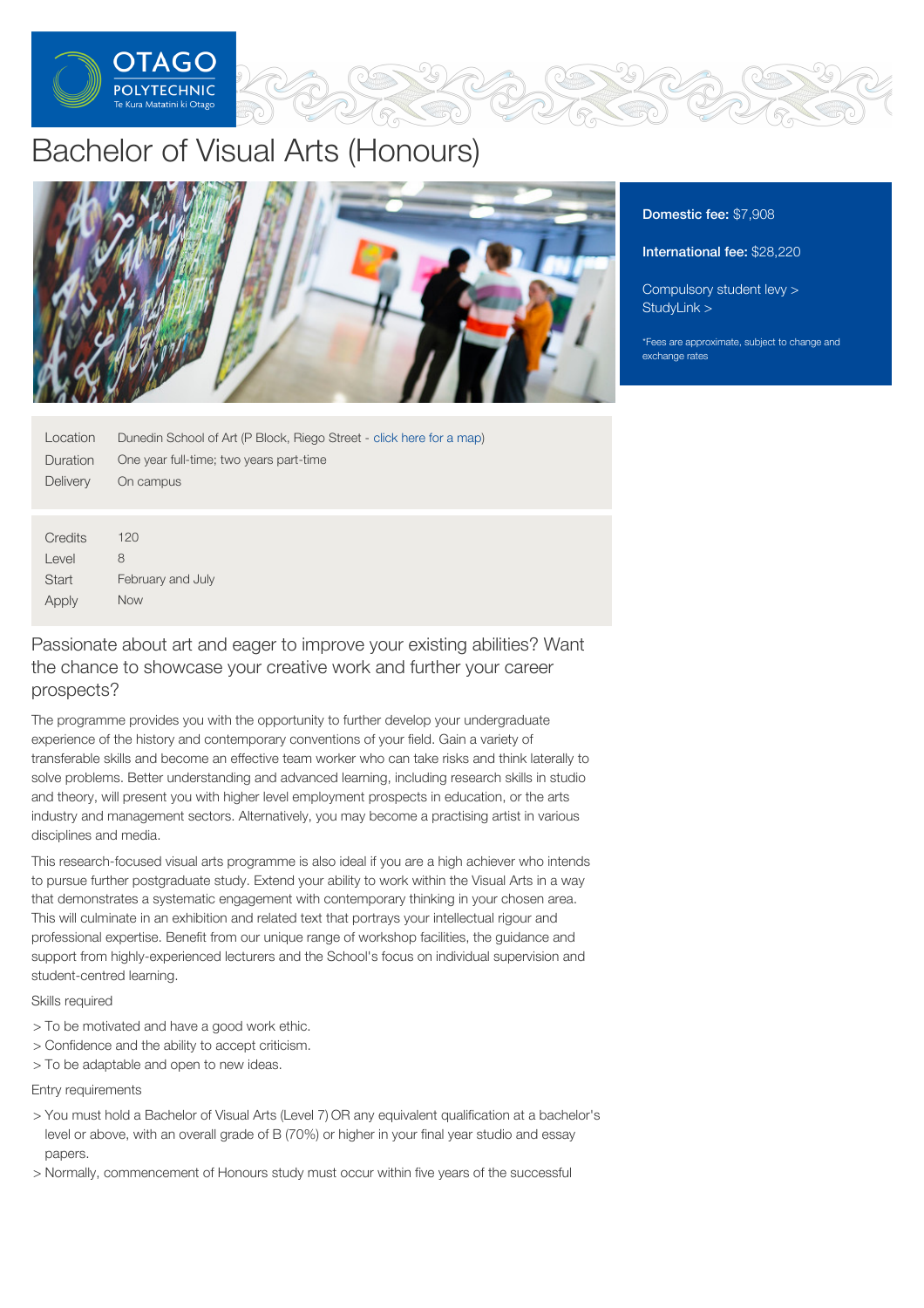

# Bachelor of Visual Arts (Honours)



| Location     | Dunedin School of Art (P Block, Riego Street - click here for a map) |
|--------------|----------------------------------------------------------------------|
| Duration     | One year full-time; two years part-time                              |
| Delivery     | On campus                                                            |
|              |                                                                      |
|              |                                                                      |
| Credits      | 120                                                                  |
| Level        | 8                                                                    |
| <b>Start</b> | February and July                                                    |

Passionate about art and eager to improve your existing abilities? Want the chance to showcase your creative work and further your career prospects?

The programme provides you with the opportunity to further develop your undergraduate experience of the history and contemporary conventions of your field. Gain a variety of transferable skills and become an effective team worker who can take risks and think laterally to solve problems. Better understanding and advanced learning, including research skills in studio and theory, will present you with higher level employment prospects in education, or the arts industry and management sectors. Alternatively, you may become a practising artist in various disciplines and media.

This research-focused visual arts programme is also ideal if you are a high achiever who intends to pursue further postgraduate study. Extend your ability to work within the Visual Arts in a way that demonstrates a systematic engagement with contemporary thinking in your chosen area. This will culminate in an exhibition and related text that portrays your intellectual rigour and professional expertise. Benefit from our unique range of workshop facilities, the guidance and support from highly-experienced lecturers and the School's focus on individual supervision and student-centred learning.

Skills required

Apply

Now

- > To be motivated and have a good work ethic.
- > Confidence and the ability to accept criticism.
- > To be adaptable and open to new ideas.

Entry requirements

- > You must hold a Bachelor of Visual Arts (Level 7) OR any equivalent qualification at a bachelor's level or above, with an overall grade of B (70%) or higher in your final year studio and essay papers.
- > Normally, commencement of Honours study must occur within five years of the successful

# Domestic fee: \$7,908

# International fee: \$28,220

[Compulsory](https://online.op.ac.nz/students/important-information/student-services-levy/) student levy > [StudyLink](https://www.studylink.govt.nz/) >

\*Fees are approximate, subject to change and exchange rates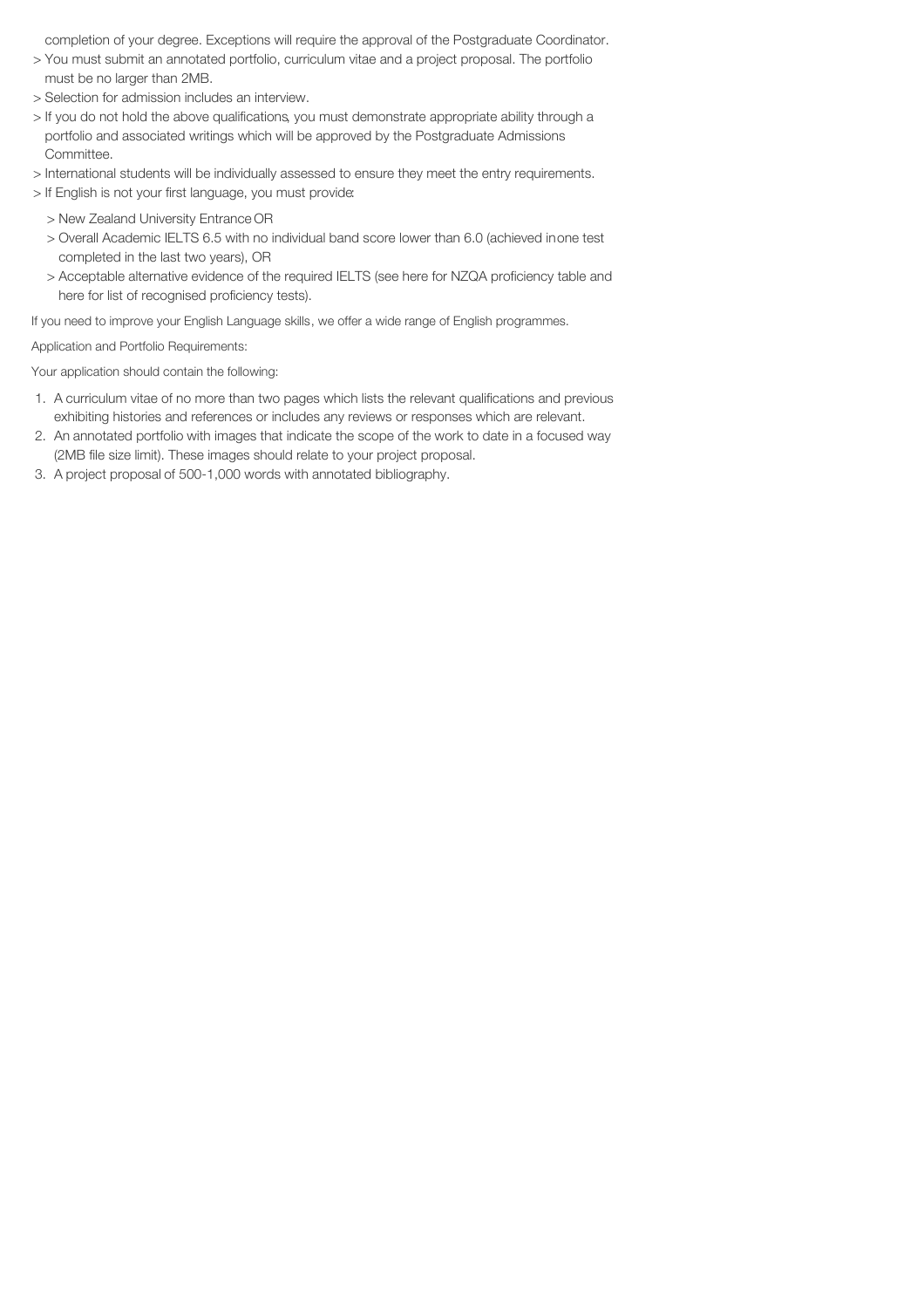completion of your degree. Exceptions will require the approval of the Postgraduate Coordinator.

- > You must submit an annotated portfolio, curriculum vitae and a project proposal. The portfolio must be no larger than 2MB.
- > Selection for admission includes an interview.
- > If you do not hold the above qualifications, you must demonstrate appropriate ability through a portfolio and associated writings which will be approved by the Postgraduate Admissions Committee.
- > International students will be individually assessed to ensure they meet the entry requirements.
- > If English is not your first language, you must provide:
	- > New Zealand University Entrance OR
	- > Overall Academic IELTS 6.5 with no individual band score lower than 6.0 (achieved inone test completed in the last two years), OR
	- > Acceptable alternative evidence of the required IELTS (see here for NZQA proficiency table and here for list of recognised proficiency tests).

If you need to improve your English Language skills, we offer a wide range of English programmes.

Application and Portfolio Requirements:

Your application should contain the following:

- 1. A curriculum vitae of no more than two pages which lists the relevant qualifications and previous exhibiting histories and references or includes any reviews or responses which are relevant.
- 2. An annotated portfolio with images that indicate the scope of the work to date in a focused way (2MB file size limit). These images should relate to your project proposal.
- 3. A project proposal of 500-1,000 words with annotated bibliography.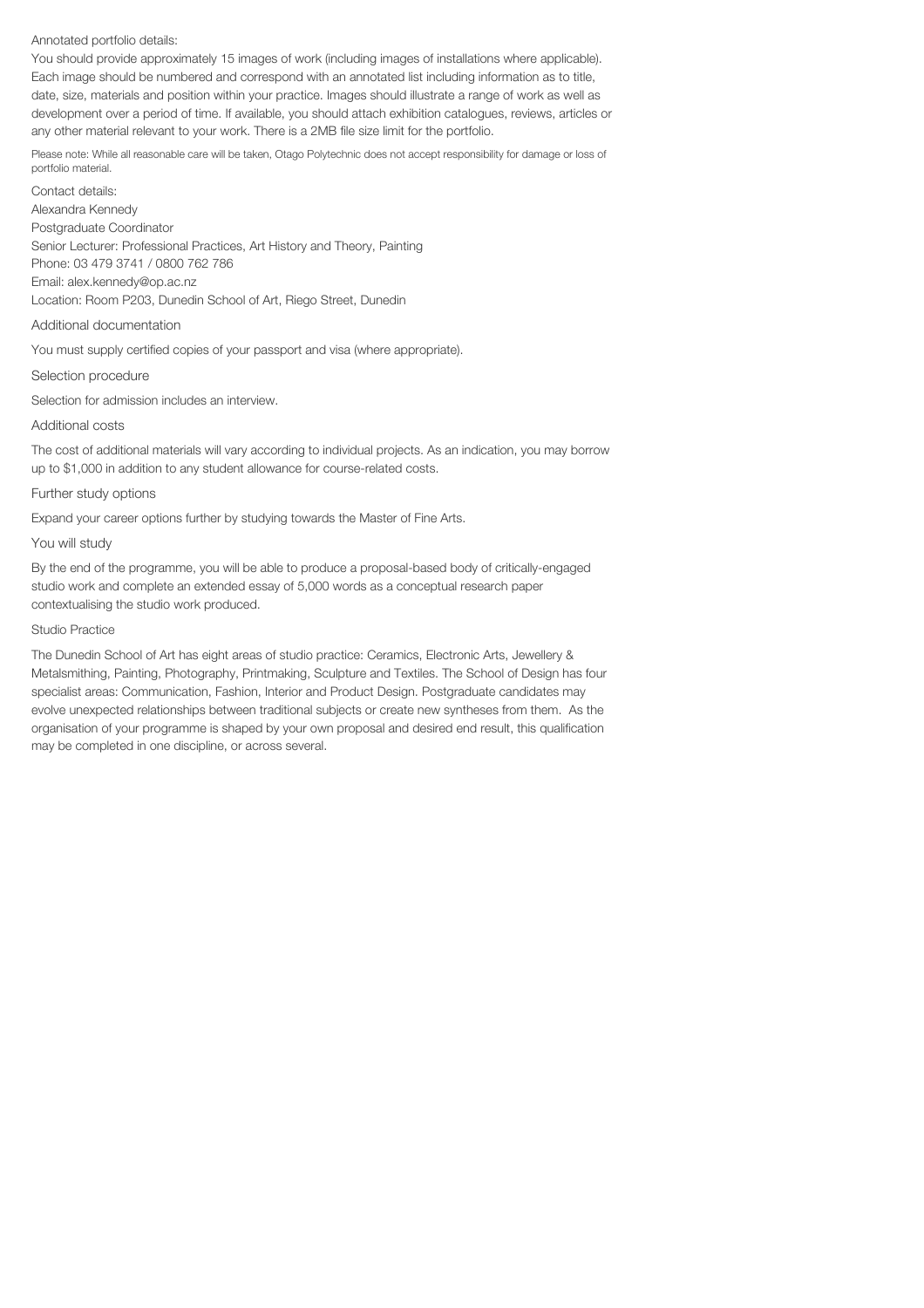## Annotated portfolio details:

You should provide approximately 15 images of work (including images of installations where applicable). Each image should be numbered and correspond with an annotated list including information as to title, date, size, materials and position within your practice. Images should illustrate a range of work as well as development over a period of time. If available, you should attach exhibition catalogues, reviews, articles or any other material relevant to your work. There is a 2MB file size limit for the portfolio.

Please note: While all reasonable care will be taken, Otago Polytechnic does not accept responsibility for damage or loss of portfolio material.

Contact details: Alexandra Kennedy Postgraduate Coordinator Senior Lecturer: Professional Practices, Art History and Theory, Painting Phone: 03 479 3741 / 0800 762 786 Email: alex.kennedy@op.ac.nz Location: Room P203, Dunedin School of Art, Riego Street, Dunedin

## Additional documentation

You must supply certified copies of your passport and visa (where appropriate).

## Selection procedure

Selection for admission includes an interview.

## Additional costs

The cost of additional materials will vary according to individual projects. As an indication, you may borrow up to \$1,000 in addition to any student allowance for course-related costs.

## Further study options

Expand your career options further by studying towards the Master of Fine Arts.

## You will study

By the end of the programme, you will be able to produce a proposal-based body of critically-engaged studio work and complete an extended essay of 5,000 words as a conceptual research paper contextualising the studio work produced.

## Studio Practice

The Dunedin School of Art has eight areas of studio practice: Ceramics, Electronic Arts, Jewellery & Metalsmithing, Painting, Photography, Printmaking, Sculpture and Textiles. The School of Design has four specialist areas: Communication, Fashion, Interior and Product Design. Postgraduate candidates may evolve unexpected relationships between traditional subjects or create new syntheses from them. As the organisation of your programme is shaped by your own proposal and desired end result, this qualification may be completed in one discipline, or across several.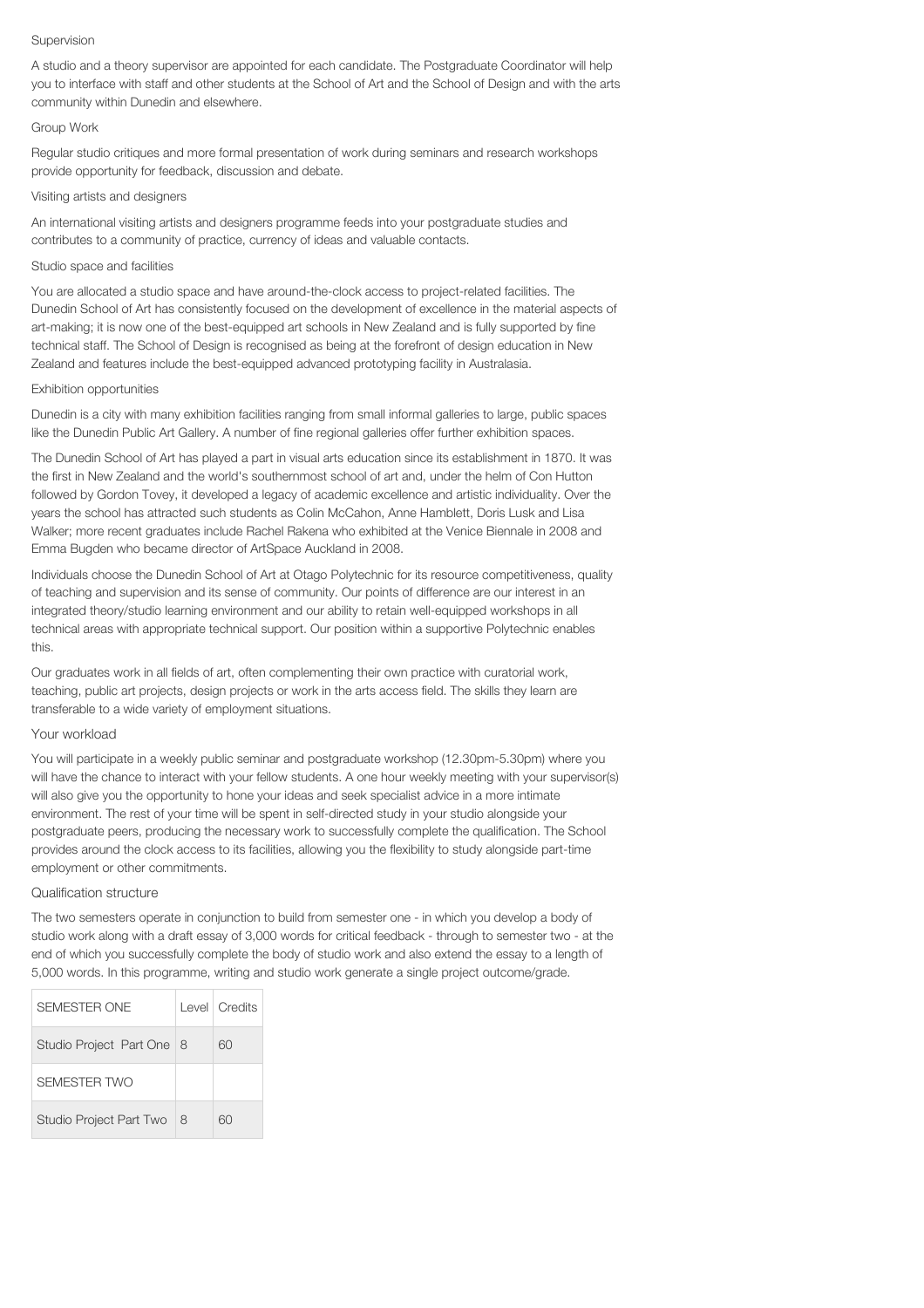#### Supervision

A studio and a theory supervisor are appointed for each candidate. The Postgraduate Coordinator will help you to interface with staff and other students at the School of Art and the School of Design and with the arts community within Dunedin and elsewhere.

# Group Work

Regular studio critiques and more formal presentation of work during seminars and research workshops provide opportunity for feedback, discussion and debate.

## Visiting artists and designers

An international visiting artists and designers programme feeds into your postgraduate studies and contributes to a community of practice, currency of ideas and valuable contacts.

## Studio space and facilities

You are allocated a studio space and have around-the-clock access to project-related facilities. The Dunedin School of Art has consistently focused on the development of excellence in the material aspects of art-making; it is now one of the best-equipped art schools in New Zealand and is fully supported by fine technical staff. The School of Design is recognised as being at the forefront of design education in New Zealand and features include the best-equipped advanced prototyping facility in Australasia.

### Exhibition opportunities

Dunedin is a city with many exhibition facilities ranging from small informal galleries to large, public spaces like the Dunedin Public Art Gallery. A number of fine regional galleries offer further exhibition spaces.

The Dunedin School of Art has played a part in visual arts education since its establishment in 1870. It was the first in New Zealand and the world's southernmost school of art and, under the helm of Con Hutton followed by Gordon Tovey, it developed a legacy of academic excellence and artistic individuality. Over the years the school has attracted such students as Colin McCahon, Anne Hamblett, Doris Lusk and Lisa Walker; more recent graduates include Rachel Rakena who exhibited at the Venice Biennale in 2008 and Emma Bugden who became director of ArtSpace Auckland in 2008.

Individuals choose the Dunedin School of Art at Otago Polytechnic for its resource competitiveness, quality of teaching and supervision and its sense of community. Our points of difference are our interest in an integrated theory/studio learning environment and our ability to retain well-equipped workshops in all technical areas with appropriate technical support. Our position within a supportive Polytechnic enables this.

Our graduates work in all fields of art, often complementing their own practice with curatorial work, teaching, public art projects, design projects or work in the arts access field. The skills they learn are transferable to a wide variety of employment situations.

# Your workload

You will participate in a weekly public seminar and postgraduate workshop (12.30pm-5.30pm) where you will have the chance to interact with your fellow students. A one hour weekly meeting with your supervisor(s) will also give you the opportunity to hone your ideas and seek specialist advice in a more intimate environment. The rest of your time will be spent in self-directed study in your studio alongside your postgraduate peers, producing the necessary work to successfully complete the qualification. The School provides around the clock access to its facilities, allowing you the flexibility to study alongside part-time employment or other commitments.

# Qualification structure

The two semesters operate in conjunction to build from semester one - in which you develop a body of studio work along with a draft essay of 3,000 words for critical feedback - through to semester two - at the end of which you successfully complete the body of studio work and also extend the essay to a length of 5,000 words. In this programme, writing and studio work generate a single project outcome/grade.

| SEMESTER ONE                   |   | Level Credits |
|--------------------------------|---|---------------|
| Studio Project Part One   8    |   | 60            |
| SEMESTER TWO                   |   |               |
| <b>Studio Project Part Two</b> | 8 | ണ             |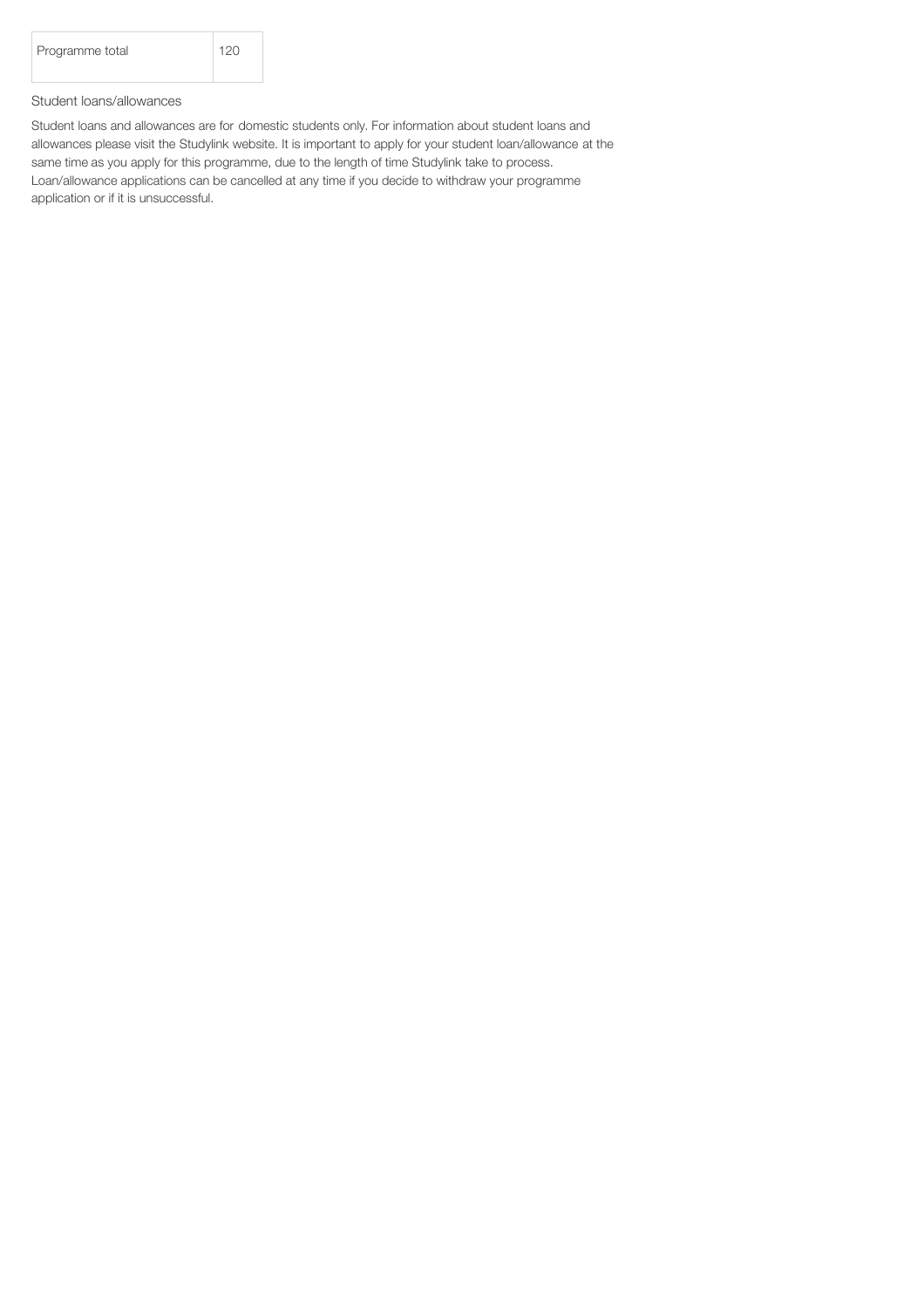| Programme total | 120 |
|-----------------|-----|
|                 |     |

# Student loans/allowances

Student loans and allowances are for domestic students only. For information about student loans and allowances please visit the Studylink website. It is important to apply for your student loan/allowance at the same time as you apply for this programme, due to the length of time Studylink take to process. Loan/allowance applications can be cancelled at any time if you decide to withdraw your programme application or if it is unsuccessful.